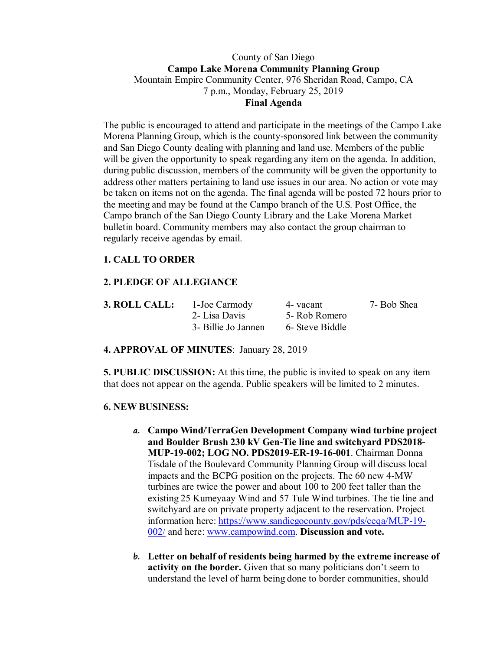## County of San Diego **Campo Lake Morena Community Planning Group** Mountain Empire Community Center, 976 Sheridan Road, Campo, CA 7 p.m., Monday, February 25, 2019 **Final Agenda**

The public is encouraged to attend and participate in the meetings of the Campo Lake Morena Planning Group, which is the county-sponsored link between the community and San Diego County dealing with planning and land use. Members of the public will be given the opportunity to speak regarding any item on the agenda. In addition, during public discussion, members of the community will be given the opportunity to address other matters pertaining to land use issues in our area. No action or vote may be taken on items not on the agenda. The final agenda will be posted 72 hours prior to the meeting and may be found at the Campo branch of the U.S. Post Office, the Campo branch of the San Diego County Library and the Lake Morena Market bulletin board. Community members may also contact the group chairman to regularly receive agendas by email.

# **1. CALL TO ORDER**

# **2. PLEDGE OF ALLEGIANCE**

| <b>3. ROLL CALL:</b> | 1-Joe Carmody       | 4- vacant       | 7- Bob Shea |
|----------------------|---------------------|-----------------|-------------|
|                      | 2- Lisa Davis       | 5- Rob Romero   |             |
|                      | 3- Billie Jo Jannen | 6- Steve Biddle |             |

#### **4. APPROVAL OF MINUTES**: January 28, 2019

**5. PUBLIC DISCUSSION:** At this time, the public is invited to speak on any item that does not appear on the agenda. Public speakers will be limited to 2 minutes.

#### **6. NEW BUSINESS:**

- **a. Campo Wind/TerraGen Development Company wind turbine project and Boulder Brush 230 kV Gen-Tie line and switchyard PDS2018- MUP-19-002; LOG NO. PDS2019-ER-19-16-001**. Chairman Donna Tisdale of the Boulevard Community Planning Group will discuss local impacts and the BCPG position on the projects. The 60 new 4-MW turbines are twice the power and about 100 to 200 feet taller than the existing 25 Kumeyaay Wind and 57 Tule Wind turbines. The tie line and switchyard are on private property adjacent to the reservation. Project information here: https://www.sandiegocounty.gov/pds/ceqa/MUP-19- 002/ and here: www.campowind.com. **Discussion and vote.**
- **b. Letter on behalf of residents being harmed by the extreme increase of activity on the border.** Given that so many politicians don't seem to understand the level of harm being done to border communities, should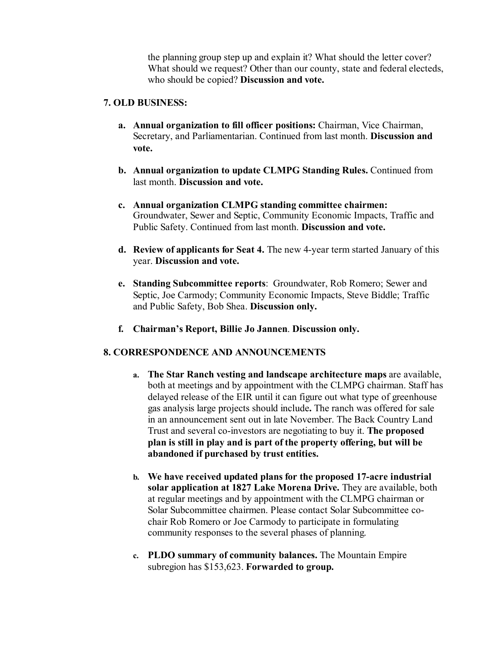the planning group step up and explain it? What should the letter cover? What should we request? Other than our county, state and federal electeds, who should be copied? **Discussion and vote.**

#### **7. OLD BUSINESS:**

- **a. Annual organization to fill officer positions:** Chairman, Vice Chairman, Secretary, and Parliamentarian. Continued from last month. **Discussion and vote.**
- **b. Annual organization to update CLMPG Standing Rules.** Continued from last month. **Discussion and vote.**
- **c. Annual organization CLMPG standing committee chairmen:**  Groundwater, Sewer and Septic, Community Economic Impacts, Traffic and Public Safety. Continued from last month. **Discussion and vote.**
- **d. Review of applicants for Seat 4.** The new 4-year term started January of this year. **Discussion and vote.**
- **e. Standing Subcommittee reports**: Groundwater, Rob Romero; Sewer and Septic, Joe Carmody; Community Economic Impacts, Steve Biddle; Traffic and Public Safety, Bob Shea. **Discussion only.**
- **f. Chairman's Report, Billie Jo Jannen**. **Discussion only.**

### **8. CORRESPONDENCE AND ANNOUNCEMENTS**

- **a. The Star Ranch vesting and landscape architecture maps** are available, both at meetings and by appointment with the CLMPG chairman. Staff has delayed release of the EIR until it can figure out what type of greenhouse gas analysis large projects should include**.** The ranch was offered for sale in an announcement sent out in late November. The Back Country Land Trust and several co-investors are negotiating to buy it. **The proposed plan is still in play and is part of the property offering, but will be abandoned if purchased by trust entities.**
- **b. We have received updated plans for the proposed 17-acre industrial solar application at 1827 Lake Morena Drive.** They are available, both at regular meetings and by appointment with the CLMPG chairman or Solar Subcommittee chairmen. Please contact Solar Subcommittee cochair Rob Romero or Joe Carmody to participate in formulating community responses to the several phases of planning.
- **c. PLDO summary of community balances.** The Mountain Empire subregion has \$153,623. **Forwarded to group.**